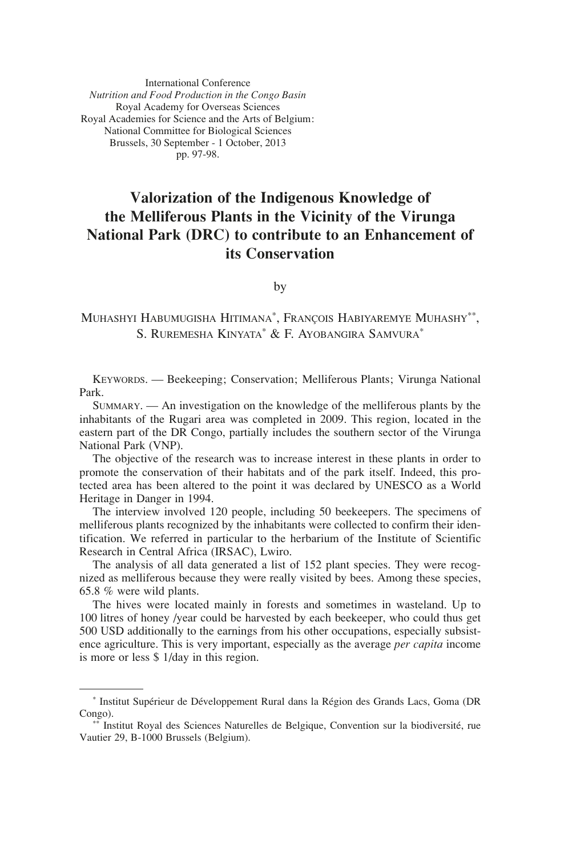International Conference *Nutrition and Food Production in the Congo Basin* Royal Academy for Overseas Sciences Royal Academies for Science and the Arts of Belgium: National Committee for Biological Sciences Brussels, 30 September - 1 October, 2013 pp. 97-98.

## **Valorization of the Indigenous Knowledge of the Melliferous Plants in the Vicinity of the Virunga National Park (DRC) to contribute to an Enhancement of its Conservation**

by

## Muhashyi Habumugisha Hitimana\* , François Habiyaremye Muhashy\*\*, S. Ruremesha Kinyata\* & F. Ayobangira Samvura\*

Keywords. — Beekeeping; Conservation; Melliferous Plants; Virunga National Park.

Summary. — An investigation on the knowledge of the melliferous plants by the inhabitants of the Rugari area was completed in 2009. This region, located in the eastern part of the DR Congo, partially includes the southern sector of the Virunga National Park (VNP).

The objective of the research was to increase interest in these plants in order to promote the conservation of their habitats and of the park itself. Indeed, this protected area has been altered to the point it was declared by UNESCO as a World Heritage in Danger in 1994.

The interview involved 120 people, including 50 beekeepers. The specimens of melliferous plants recognized by the inhabitants were collected to confirm their identification. We referred in particular to the herbarium of the Institute of Scientific Research in Central Africa (IRSAC), Lwiro.

The analysis of all data generated a list of 152 plant species. They were recognized as melliferous because they were really visited by bees. Among these species, 65.8 % were wild plants.

The hives were located mainly in forests and sometimes in wasteland. Up to 100 litres of honey /year could be harvested by each beekeeper, who could thus get 500 USD additionally to the earnings from his other occupations, especially subsistence agriculture. This is very important, especially as the average *per capita* income is more or less \$ 1/day in this region.

<sup>\*</sup> Institut Supérieur de Développement Rural dans la Région des Grands Lacs, Goma (DR Congo).

<sup>\*\*</sup> Institut Royal des Sciences Naturelles de Belgique, Convention sur la biodiversité, rue Vautier 29, B-1000 Brussels (Belgium).